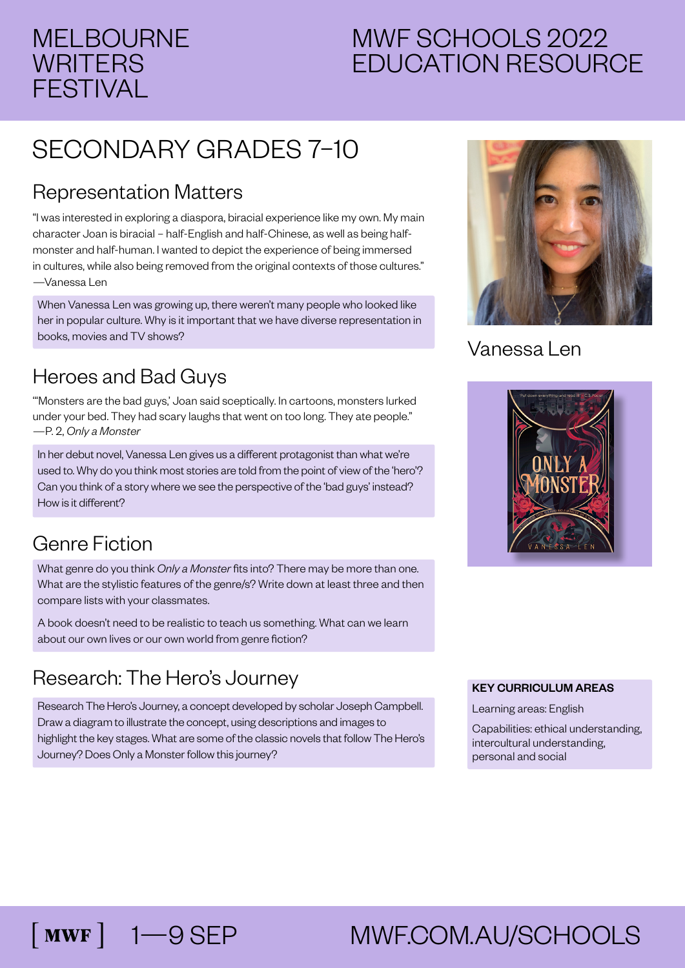#### MELBOURNE **WRITERS** FESTIVAL

### MWF SCHOOLS 2022 EDUCATION RESOURCE

## SECONDARY GRADES 7–10

#### Representation Matters

"I was interested in exploring a diaspora, biracial experience like my own. My main character Joan is biracial – half-English and half-Chinese, as well as being halfmonster and half-human. I wanted to depict the experience of being immersed in cultures, while also being removed from the original contexts of those cultures." —Vanessa Len

When Vanessa Len was growing up, there weren't many people who looked like her in popular culture. Why is it important that we have diverse representation in books, movies and TV shows?

#### Heroes and Bad Guys

'"Monsters are the bad guys,' Joan said sceptically. In cartoons, monsters lurked under your bed. They had scary laughs that went on too long. They ate people." —P. 2, *Only a Monster*

In her debut novel, Vanessa Len gives us a different protagonist than what we're used to. Why do you think most stories are told from the point of view of the 'hero'? Can you think of a story where we see the perspective of the 'bad guys' instead? How is it different?

#### Genre Fiction

 $\lceil$  MWF  $\rceil$ 

What genre do you think *Only a Monster* fits into? There may be more than one. What are the stylistic features of the genre/s? Write down at least three and then compare lists with your classmates.

A book doesn't need to be realistic to teach us something. What can we learn about our own lives or our own world from genre fiction?

#### Research: The Hero's Journey

Research The Hero's Journey, a concept developed by scholar Joseph Campbell. Draw a diagram to illustrate the concept, using descriptions and images to highlight the key stages. What are some of the classic novels that follow The Hero's Journey? Does Only a Monster follow this journey?



#### Vanessa Len



#### KEY CURRICULUM AREAS

Learning areas: English

Capabilities: ethical understanding, intercultural understanding, personal and social

# 1—9 SEP MWF.COM.AU/SCHOOLS